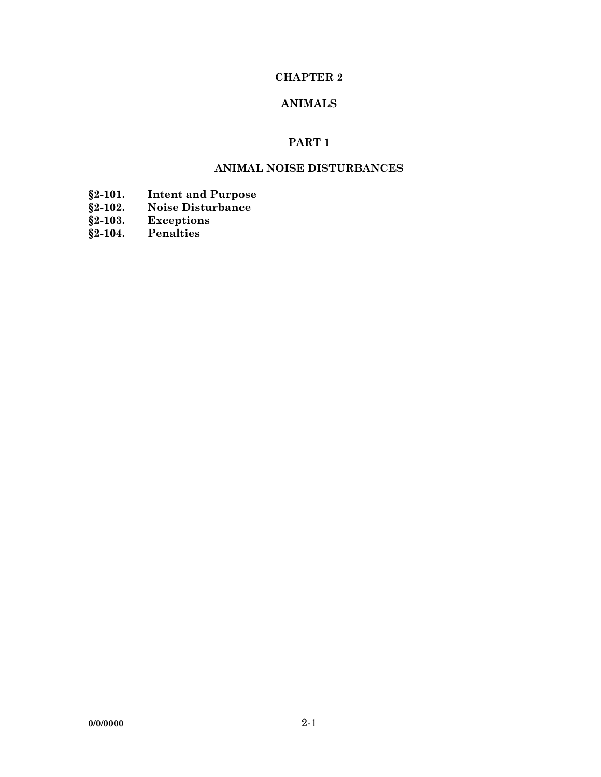# **CHAPTER 2**

# **ANIMALS**

# **PART 1**

# **ANIMAL NOISE DISTURBANCES**

- **§2-101. Intent and Purpose**
- **§2-102. Noise Disturbance**
- **§2-103. Exceptions**
- **§2-104. Penalties**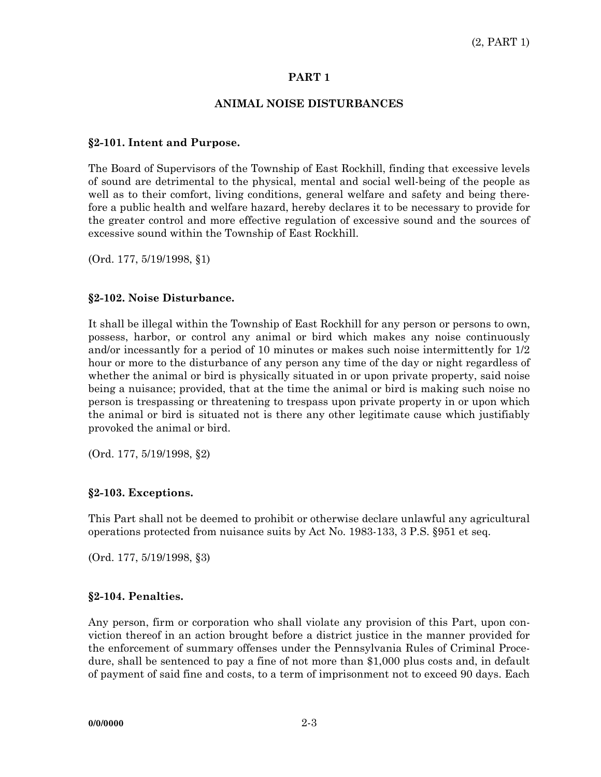### **PART 1**

### **ANIMAL NOISE DISTURBANCES**

#### **§2-101. Intent and Purpose.**

The Board of Supervisors of the Township of East Rockhill, finding that excessive levels of sound are detrimental to the physical, mental and social well-being of the people as well as to their comfort, living conditions, general welfare and safety and being therefore a public health and welfare hazard, hereby declares it to be necessary to provide for the greater control and more effective regulation of excessive sound and the sources of excessive sound within the Township of East Rockhill.

(Ord. 177, 5/19/1998, §1)

#### **§2-102. Noise Disturbance.**

It shall be illegal within the Township of East Rockhill for any person or persons to own, possess, harbor, or control any animal or bird which makes any noise continuously and/or incessantly for a period of 10 minutes or makes such noise intermittently for 1/2 hour or more to the disturbance of any person any time of the day or night regardless of whether the animal or bird is physically situated in or upon private property, said noise being a nuisance; provided, that at the time the animal or bird is making such noise no person is trespassing or threatening to trespass upon private property in or upon which the animal or bird is situated not is there any other legitimate cause which justifiably provoked the animal or bird.

(Ord. 177, 5/19/1998, §2)

#### **§2-103. Exceptions.**

This Part shall not be deemed to prohibit or otherwise declare unlawful any agricultural operations protected from nuisance suits by Act No. 1983-133, 3 P.S. §951 et seq.

(Ord. 177, 5/19/1998, §3)

## **§2-104. Penalties.**

Any person, firm or corporation who shall violate any provision of this Part, upon conviction thereof in an action brought before a district justice in the manner provided for the enforcement of summary offenses under the Pennsylvania Rules of Criminal Procedure, shall be sentenced to pay a fine of not more than \$1,000 plus costs and, in default of payment of said fine and costs, to a term of imprisonment not to exceed 90 days. Each